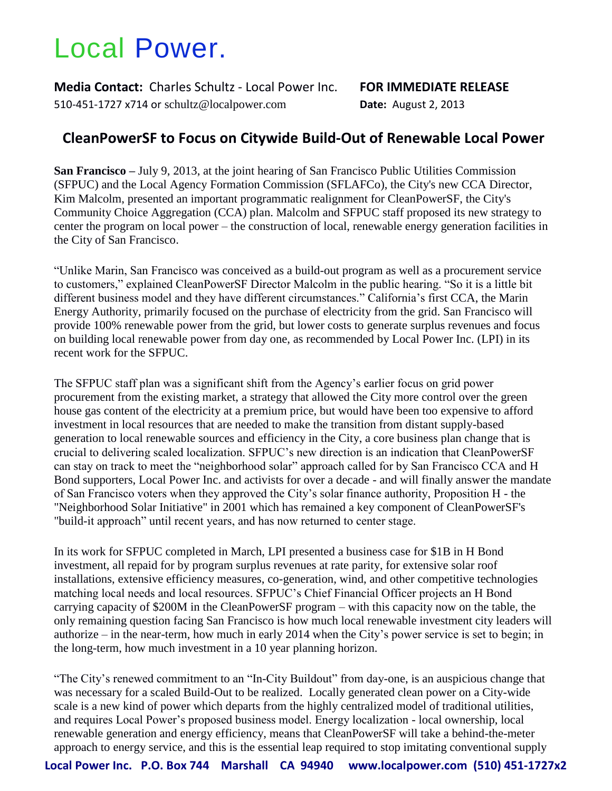## Local Power.

**Media Contact:** Charles Schultz - Local Power Inc. **FOR IMMEDIATE RELEASE** 510-451-1727 x714 or schultz@localpower.com **Date:** August 2, 2013

## **CleanPowerSF to Focus on Citywide Build-Out of Renewable Local Power**

**San Francisco –** July 9, 2013, at the joint hearing of San Francisco Public Utilities Commission (SFPUC) and the Local Agency Formation Commission (SFLAFCo), the City's new CCA Director, Kim Malcolm, presented an important programmatic realignment for CleanPowerSF, the City's Community Choice Aggregation (CCA) plan. Malcolm and SFPUC staff proposed its new strategy to center the program on local power – the construction of local, renewable energy generation facilities in the City of San Francisco.

"Unlike Marin, San Francisco was conceived as a build-out program as well as a procurement service to customers," explained CleanPowerSF Director Malcolm in the public hearing. "So it is a little bit different business model and they have different circumstances." California's first CCA, the Marin Energy Authority, primarily focused on the purchase of electricity from the grid. San Francisco will provide 100% renewable power from the grid, but lower costs to generate surplus revenues and focus on building local renewable power from day one, as recommended by Local Power Inc. (LPI) in its recent work for the SFPUC.

The SFPUC staff plan was a significant shift from the Agency's earlier focus on grid power procurement from the existing market, a strategy that allowed the City more control over the green house gas content of the electricity at a premium price, but would have been too expensive to afford investment in local resources that are needed to make the transition from distant supply-based generation to local renewable sources and efficiency in the City, a core business plan change that is crucial to delivering scaled localization. SFPUC's new direction is an indication that CleanPowerSF can stay on track to meet the "neighborhood solar" approach called for by San Francisco CCA and H Bond supporters, Local Power Inc. and activists for over a decade - and will finally answer the mandate of San Francisco voters when they approved the City's solar finance authority, Proposition H - the "Neighborhood Solar Initiative" in 2001 which has remained a key component of CleanPowerSF's "build-it approach" until recent years, and has now returned to center stage.

In its work for SFPUC completed in March, LPI presented a business case for \$1B in H Bond investment, all repaid for by program surplus revenues at rate parity, for extensive solar roof installations, extensive efficiency measures, co-generation, wind, and other competitive technologies matching local needs and local resources. SFPUC's Chief Financial Officer projects an H Bond carrying capacity of \$200M in the CleanPowerSF program – with this capacity now on the table, the only remaining question facing San Francisco is how much local renewable investment city leaders will authorize – in the near-term, how much in early 2014 when the City's power service is set to begin; in the long-term, how much investment in a 10 year planning horizon.

"The City's renewed commitment to an "In-City Buildout" from day-one, is an auspicious change that was necessary for a scaled Build-Out to be realized. Locally generated clean power on a City-wide scale is a new kind of power which departs from the highly centralized model of traditional utilities, and requires Local Power's proposed business model. Energy localization - local ownership, local renewable generation and energy efficiency, means that CleanPowerSF will take a behind-the-meter approach to energy service, and this is the essential leap required to stop imitating conventional supply